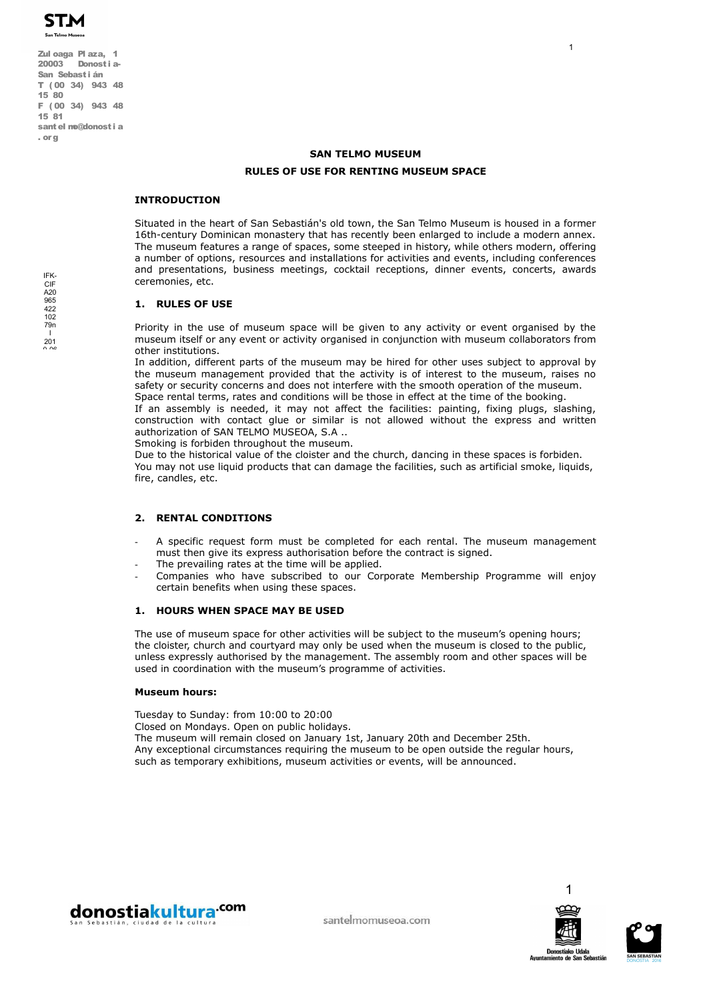Zul oaga Pl aza, 1 20003 Donosti a-San Sebasti án T ( 00 34) 943 48 15 80 F ( 00 34) 943 48 15 81 santel mo@donosti a . or g

# **SAN TELMO MUSEUM RULES OF USE FOR RENTING MUSEUM SPACE**

## **INTRODUCTION**

Situated in the heart of San Sebastián's old town, the San Telmo Museum is housed in a former 16th-century Dominican monastery that has recently been enlarged to include a modern annex. The museum features a range of spaces, some steeped in history, while others modern, offering a number of options, resources and installations for activities and events, including conferences and presentations, business meetings, cocktail receptions, dinner events, concerts, awards ceremonies, etc.

# **1. RULES OF USE**

Priority in the use of museum space will be given to any activity or event organised by the museum itself or any event or activity organised in conjunction with museum collaborators from other institutions.

In addition, different parts of the museum may be hired for other uses subject to approval by the museum management provided that the activity is of interest to the museum, raises no safety or security concerns and does not interfere with the smooth operation of the museum. Space rental terms, rates and conditions will be those in effect at the time of the booking.

If an assembly is needed, it may not affect the facilities: painting, fixing plugs, slashing, construction with contact glue or similar is not allowed without the express and written authorization of SAN TELMO MUSEOA, S.A ..

Smoking is forbiden throughout the museum.

Due to the historical value of the cloister and the church, dancing in these spaces is forbiden. You may not use liquid products that can damage the facilities, such as artificial smoke, liquids, fire, candles, etc.

# **2. RENTAL CONDITIONS**

- A specific request form must be completed for each rental. The museum management must then give its express authorisation before the contract is signed.
- The prevailing rates at the time will be applied.
- Companies who have subscribed to our Corporate Membership Programme will enjoy certain benefits when using these spaces.

# **1. HOURS WHEN SPACE MAY BE USED**

The use of museum space for other activities will be subject to the museum's opening hours; the cloister, church and courtyard may only be used when the museum is closed to the public, unless expressly authorised by the management. The assembly room and other spaces will be used in coordination with the museum's programme of activities.

### **Museum hours:**

Tuesday to Sunday: from 10:00 to 20:00 Closed on Mondays. Open on public holidays. The museum will remain closed on January 1st, January 20th and December 25th. Any exceptional circumstances requiring the museum to be open outside the regular hours, such as temporary exhibitions, museum activities or events, will be announced.





**Donostiako Udal** 

1



A20 965 422  $102$ 79n I  $201$ 

IFK-CIF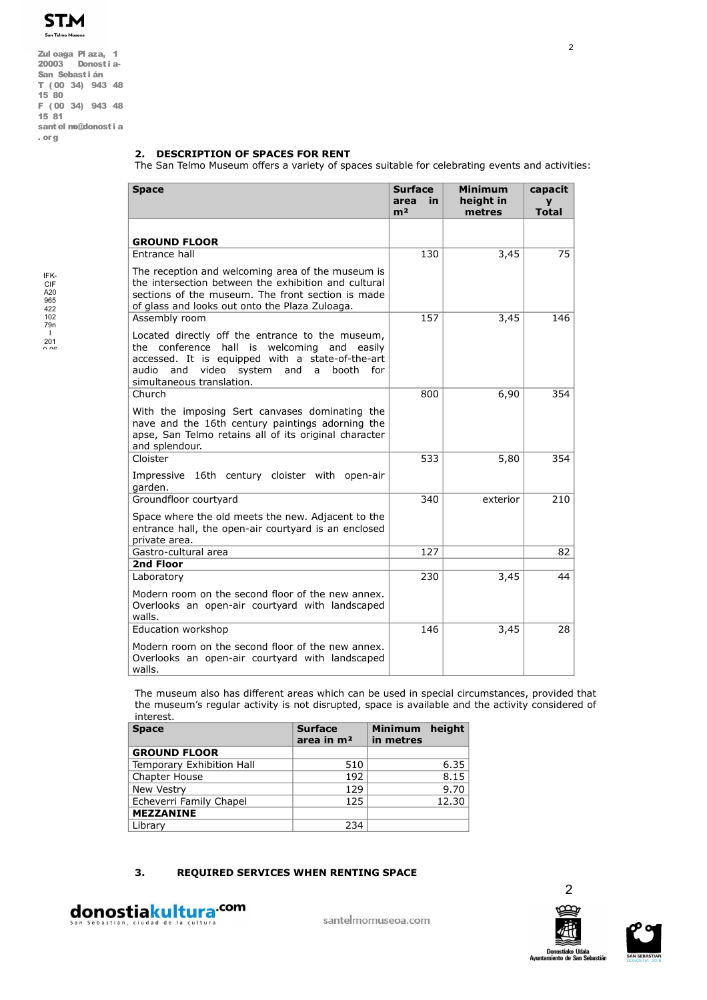

Zul oaga Pl aza, 1 20003 Donosti a-San Sebastián T ( 00 34) 943 48 15 80 F ( 00 34) 943 48 15 81 santel mo@donosti a . org

# **2. DESCRIPTION OF SPACES FOR RENT**

The San Telmo Museum offers a variety of spaces suitable for celebrating events and activities:

| <b>Space</b>                                                                                                                                                                                                                                | <b>Surface</b><br>area<br>in<br>m <sup>2</sup> | <b>Minimum</b><br>height in<br>metres | capacit<br>y<br><b>Total</b> |
|---------------------------------------------------------------------------------------------------------------------------------------------------------------------------------------------------------------------------------------------|------------------------------------------------|---------------------------------------|------------------------------|
| <b>GROUND FLOOR</b>                                                                                                                                                                                                                         |                                                |                                       |                              |
| Entrance hall                                                                                                                                                                                                                               | 130                                            | 3,45                                  | 75                           |
| The reception and welcoming area of the museum is<br>the intersection between the exhibition and cultural<br>sections of the museum. The front section is made<br>of glass and looks out onto the Plaza Zuloaga.                            |                                                |                                       |                              |
| Assembly room                                                                                                                                                                                                                               | 157                                            | 3,45                                  | 146                          |
| Located directly off the entrance to the museum,<br>the conference hall is welcoming<br>and easily<br>accessed. It is equipped with a state-of-the-art<br>video system and<br>audio and<br>booth<br>a<br>for f<br>simultaneous translation. |                                                |                                       |                              |
| Church                                                                                                                                                                                                                                      | 800                                            | 6,90                                  | 354                          |
| With the imposing Sert canvases dominating the<br>nave and the 16th century paintings adorning the<br>apse, San Telmo retains all of its original character<br>and splendour.                                                               |                                                |                                       |                              |
| Cloister                                                                                                                                                                                                                                    | 533                                            | 5,80                                  | 354                          |
| Impressive 16th century cloister with open-air<br>garden.                                                                                                                                                                                   |                                                |                                       |                              |
| Groundfloor courtyard                                                                                                                                                                                                                       | 340                                            | exterior                              | 210                          |
| Space where the old meets the new. Adjacent to the<br>entrance hall, the open-air courtyard is an enclosed<br>private area.                                                                                                                 |                                                |                                       |                              |
| Gastro-cultural area                                                                                                                                                                                                                        | 127                                            |                                       | 82                           |
| 2nd Floor                                                                                                                                                                                                                                   |                                                |                                       |                              |
| Laboratory                                                                                                                                                                                                                                  | 230                                            | 3,45                                  | 44                           |
| Modern room on the second floor of the new annex.<br>Overlooks an open-air courtyard with landscaped<br>walls.                                                                                                                              |                                                |                                       |                              |
| Education workshop                                                                                                                                                                                                                          | 146                                            | 3,45                                  | 28                           |
| Modern room on the second floor of the new annex.<br>Overlooks an open-air courtyard with landscaped<br>walls.                                                                                                                              |                                                |                                       |                              |

The museum also has different areas which can be used in special circumstances, provided that the museum's regular activity is not disrupted, space is available and the activity considered of interest.

| <b>Space</b>              | <b>Surface</b><br>area in $m2$ | Minimum height<br>in metres |       |
|---------------------------|--------------------------------|-----------------------------|-------|
| <b>GROUND FLOOR</b>       |                                |                             |       |
| Temporary Exhibition Hall | 510                            |                             | 6.35  |
| Chapter House             | 192                            |                             | 8.15  |
| New Vestry                | 129                            |                             | 9.70  |
| Echeverri Family Chapel   | 125                            |                             | 12.30 |
| <b>MEZZANINE</b>          |                                |                             |       |
| Library                   | 234                            |                             |       |

# **3. REQUIRED SERVICES WHEN RENTING SPACE**



santelmomuseoa.com



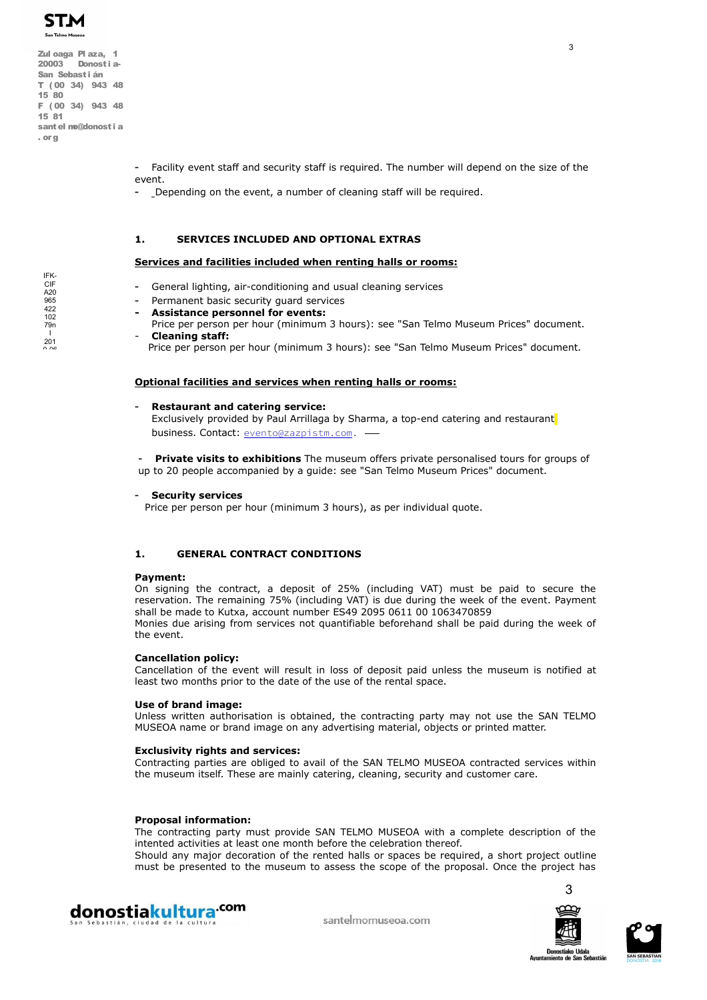

Zul oaga Pl aza, 1 20003 Donosti a-San Sebasti án T ( 00 34) 943 48 15 80 F ( 00 34) 943 48 15 81 santel mo@donosti a . or g

> - Facility event staff and security staff is required. The number will depend on the size of the event.

Depending on the event, a number of cleaning staff will be required.

# **1. SERVICES INCLUDED AND OPTIONAL EXTRAS**

## **Services and facilities included when renting halls or rooms:**

- General lighting, air-conditioning and usual cleaning services
- Permanent basic security guard services
- **Assistance personnel for events:**
- Price per person per hour (minimum 3 hours): see "San Telmo Museum Prices" document. - **Cleaning staff:**
	- Price per person per hour (minimum 3 hours): see "San Telmo Museum Prices" document.

## **Optional facilities and services when renting halls or rooms:**

## - **Restaurant and catering service:**

Exclusively provided by Paul Arrillaga by Sharma, a top-end catering and restaurant business. Contact: evento@zazpistm.com.

- **Private visits to exhibitions** The museum offers private personalised tours for groups of up to 20 people accompanied by a guide: see "San Telmo Museum Prices" document.

### - **Security services**

Price per person per hour (minimum 3 hours), as per individual quote.

# **1. GENERAL CONTRACT CONDITIONS**

### **Payment:**

On signing the contract, a deposit of 25% (including VAT) must be paid to secure the reservation. The remaining 75% (including VAT) is due during the week of the event. Payment shall be made to Kutxa, account number ES49 2095 0611 00 1063470859 Monies due arising from services not quantifiable beforehand shall be paid during the week of the event.

### **Cancellation policy:**

Cancellation of the event will result in loss of deposit paid unless the museum is notified at least two months prior to the date of the use of the rental space.

### **Use of brand image:**

Unless written authorisation is obtained, the contracting party may not use the SAN TELMO MUSEOA name or brand image on any advertising material, objects or printed matter.

## **Exclusivity rights and services:**

Contracting parties are obliged to avail of the SAN TELMO MUSEOA contracted services within the museum itself. These are mainly catering, cleaning, security and customer care.

### **Proposal information:**

The contracting party must provide SAN TELMO MUSEOA with a complete description of the intented activities at least one month before the celebration thereof.

Should any major decoration of the rented halls or spaces be required, a short project outline must be presented to the museum to assess the scope of the proposal. Once the project has







donostiakultura<sup>.com</sup>

santelmomuseoa.com